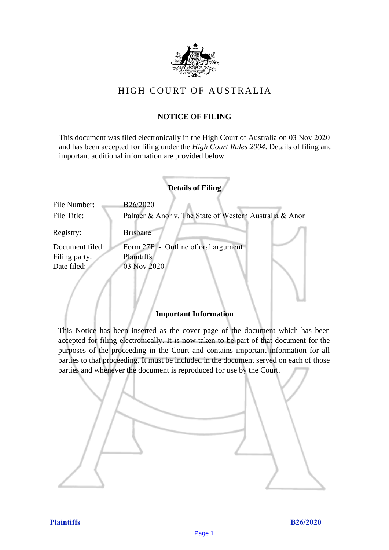

# HIGH COURT OF AU STRALIA HIGH COURT OF AUSTRALIA

# **NOTICE OF FILING** NOTICE OF FILING

This document was filed electronically in the High Court of Australia on 03 Nov 2020 This document was filed electronically in the High Court of Australia 20 and has been accepted for filing under the *High Court Rules 2004*. Details of filing and important additional information are provided below. important additional information are provided below.

|                             | <b>Details of Filing</b>                                           |
|-----------------------------|--------------------------------------------------------------------|
| File Number:<br>File Title: | B26/2020<br>Palmer & Anor v. The State of Western Australia & Anor |
| Registry:                   | <b>Brisbane</b>                                                    |
| Document filed:             | Form 27F - Outline of oral argument                                |
| Filing party:               | <b>Plaintiffs</b>                                                  |
| Date filed:                 | 03 Nov 2020                                                        |
|                             |                                                                    |

## **Important Information** Important Information

This Notice has been inserted as the cover page of the document which has been accepted for filing electronically. It is now taken to be part of that document for the purposes of the proceeding in the Court and contains important information for all parties to that proceeding. It must be included in the document served on each of those parties and whenever the document is reproduced for use by the Court. parties and whenever the document is reproduced for use by the Court

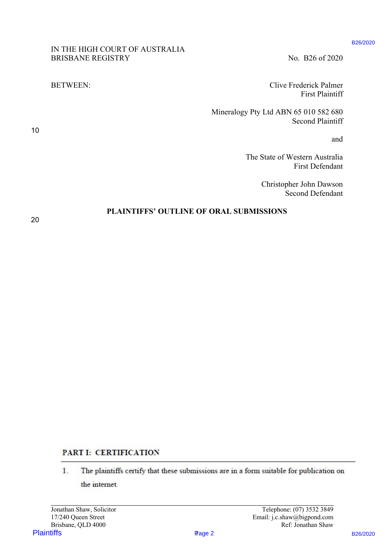### IN THE HIGH COURT OF AUSTRALIA IN THE HIGH COURT OF AUSTRALIA BRISBANE REGISTRY No. B26 of 2020

BETWEEN: Clive Frederick Palmer BETWEEN: Clive Frederick Palmer First Plaintiff First Plaintiff

> Mineralogy Pty Ltd ABN 65 010 582 680 Mineralogy Pty Ltd ABN 65 010 582 680 Second Plaintiff Second Plaintiff

> > and and

The State of Western Australia The State of Western Australia First Defendant First Defendant

> Christopher John Dawson Christopher John Dawson Second Defendant Second Defendant

#### **PLAINTIFFS' OUTLINE OF ORAL SUBMISSIONS**  PLAINTIFFS' OUTLINE OF ORAL SUBMISSIONS

20 20

10 10

# PART I: CERTIFICATION

PLAINTIFFS CHEAT CONTRACTES<br>
PLAINTIFFS B26/2020<br>
PLAINTIFFS B26/2020<br>
PLAINTIFFS B26/2020<br>
PLAINTIFFS B26/2020<br>
PLAINTIFFS DUTLINE OF ORAL SUBMISSIONS<br>
PLAINTIFFS OUTLINE OF ORAL SUBMISSIONS<br>
PLAINTIFFS OUTLINE OF ORAL S 1. The plaintiffs certify that these submissions are in a form suitable for publication on the imtermet.

Plaintiffs B26/2020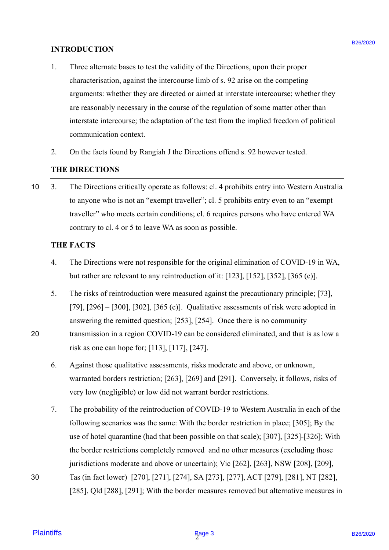#### **INTRODUCTION** INTRODUCTION

- 1. Three alternate bases to test the validity of the Directions, upon their proper Three alternate bases to test the validity of the Directions, upon their proper characterisation, against the intercourse limb of s. 92 arise on the competing characterisation, against the intercourse limb of s. 92 arise on the competing arguments: whether they are directed or aimed at interstate intercourse; whether they arguments: whether they are directed or aimed at interstate intercourse; whether they are reasonably necessary in the course of the regulation of some matter other than are reasonably necessary in the course of the regulation of some matter other than interstate intercourse; the adaptation of the test from the implied freedom of political interstate intercourse; the adaptation of the test from the implied freedom of political communication context. communication context. 1.
- 2. On the facts found by Rangiah J the Directions offend s. 92 however tested. On the facts found by Rangiah J the Directions offend s. 92 however tested. 2.

#### **THE DIRECTIONS** THE DIRECTIONS

10 3. The Directions critically operate as follows: cl. 4 prohibits entry into Western Australia 3. The Directions critically operate as follows: cl. 4 prohibits entry into Western Australia to anyone who is not an "exempt traveller"; cl. 5 prohibits entry even to an "exempt to anyone who is not an "exempt traveller'; cl. <sup>5</sup> prohibits entry even to an "exempt traveller" who meets certain conditions; cl. 6 requires persons who have entered WA traveller" who meets certain conditions; cl. 6 requires persons who have entered WA contrary to cl. 4 or 5 to leave WA as soon as possible. contrary to cl. 4 or <sup>5</sup> to leave WA as soon as possible. 10

#### **THE FACTS** THE FACTS

- 4. The Directions were not responsible for the original elimination of COVID-19 in WA, 4. The Directions were not responsible for the original elimination of COVID-19 in WA, but rather are relevant to any reintroduction of it: [123], [152], [352], [365 (c)]. but rather are relevant to any reintroduction of it:[123], [152], [352], [365 (c)].
- 5. The risks of reintroduction were measured against the precautionary principle; [73], The risks of reintroduction were measured against the precautionary principle; [73], [79], [296] – [300], [302], [365 (c)]. Qualitative assessments of risk were adopted in [79], [296] — [300], [302], [365 (c)]. Qualitative assessments of risk were adopted in answering the remitted question; [253], [254]. Once there is no community answering the remitted question; [253], [254]. Once there is no community
- 20 transmission in a region COVID-19 can be considered eliminated, and that is as low a transmission in <sup>a</sup> region COVID-19 can be considered eliminated, and that is as low arisk as one can hope for; [113], [117], [247]. risk as one can hope for; [113], [117], [247].
	- 6. Against those qualitative assessments, risks moderate and above, or unknown, Against those qualitative assessments, risks moderate and above, or unknown, warranted borders restriction; [263], [269] and [291]. Conversely, it follows, risks of warranted borders restriction; [263], [269] and [291]. Conversely, it follows, risks ofvery low (negligible) or low did not warrant border restrictions. very low (negligible) or low did not warrant border restrictions.
- 7. The probability of the reintroduction of COVID-19 to Western Australia in each of the The probability of the reintroduction of COVID-19 to Western Australia in each of the following scenarios was the same: With the border restriction in place; [305]; By the following scenarios was the same: With the border restriction in place; [305]; By the use of hotel quarantine (had that been possible on that scale); [307], [325]-[326]; With use of hotel quarantine (had that been possible on that scale); [307], [325]-[326]; With the border restrictions completely removed and no other measures (excluding those the border restrictions completely removed and no other measures (excluding those jurisdictions moderate and above or uncertain); Vic [262], [263], NSW [208], [209], jurisdictions moderate and above or uncertain); Vic [262], [263], NSW [208], [209], 30 Tas (in fact lower) [270], [271], [274], SA [273], [277], ACT [279], [281], NT [282], Tas (in fact lower) [270], [271], [274], SA [273], [277], ACT [279], [281], NT [282], **EXTRODICTION**<br>
1. These alternative has to test the validity of the Diversions, upon their properties<br>
2. The mean-test in age alternative interesting in the state properties<br>
demonstration age in the method of the syste
	- [285], Qld [288], [291]; With the border measures removed but alternative measures in [285], Qld [288], [291]; With the border measures removed but alternative measures in

20

30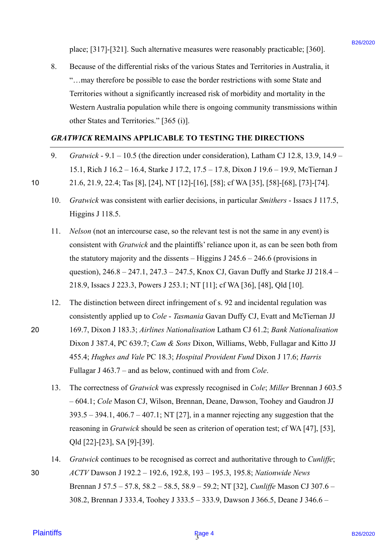place; [317]-[321]. Such alternative measures were reasonably practicable; [360]. place; [317]-[321]. Such alternative measures were reasonably practicable; [360].

8. Because of the differential risks of the various States and Territories in Australia, it 8. Because of the differential risks of the various States and Territories in Australia, it "...may therefore be possible to ease the border restrictions with some State and Territories without a significantly increased risk of morbidity and mortality in the Territories without <sup>a</sup> significantly increased risk of morbidity and mortality in the Western Australia population while there is ongoing community transmissions within Western Australia population while there is ongoing community transmissions within other States and Territories." [365 (i)]. other States and Territories." [365 (i)].

#### *GRATWICK* **REMAINS APPLICABLE TO TESTING THE DIRECTIONS** GRATWICK REMAINS APPLICABLE TO TESTING THE DIRECTIONS

- 9. Gratwick 9.1 10.5 (the direction under consideration), Latham CJ 12.8, 13.9, 14.9 15.1, Rich J 16.2 – 16.4, Starke J 17.2, 17.5 – 17.8, Dixon J 19.6 – 19.9, McTiernan J 15.1, Rich <sup>J</sup> 16.2 — 16.4, Starke <sup>J</sup> 17.2, 17.5 — 17.8, Dixon <sup>J</sup> 19.6 — 19.9, McTiernan <sup>J</sup> 10 21.6, 21.9, 22.4; Tas [8], [24], NT [12]-[16], [58]; cf WA [35], [58]-[68], [73]-[74]. <sup>10</sup> 21.6, 21.9, 22.4; Tas [8], [24], NT [12]-[16], [58]; cfWA [35], [58]-[68], [73]-[74].
	- 10. *Gratwick* was consistent with earlier decisions, in particular *Smithers* Issacs J 117.5, 10. Gratwick was consistent with earlier decisions, in particular Smithers Issacs <sup>J</sup> 117.5, Higgins J 118.5. Higgins J 118.5.
	- 11. *Nelson* (not an intercourse case, so the relevant test is not the same in any event) is consistent with *Gratwick* and the plaintiffs' reliance upon it, as can be seen both from the statutory majority and the dissents  $-$  Higgins J 245.6  $-$  246.6 (provisions in question), 246.8 – 247.1, 247.3 – 247.5, Knox CJ, Gavan Duffy and Starke JJ 218.4 – question), 246.8 — 247.1, 247.3 — 247.5, Knox CJ, Gavan Duffy and Starke JJ 218.4 — 218.9, Issacs J 223.3, Powers J 253.1; NT [11]; cf WA [36], [48], Qld [10]. 218.9, Issacs <sup>J</sup> 223.3, Powers <sup>J</sup> 253.1; NT [11]; cfWA [36], [48], Qld [10].
	- 12. The distinction between direct infringement of s. 92 and incidental regulation was 12. The distinction between direct infringement of s. 92 and incidental regulation was consistently applied up to *Cole* - *Tasmania* Gavan Duffy CJ, Evatt and McTiernan JJ consistently applied up to Cole - Tasmania Gavan Duffy CJ, Evatt and McTiernan JJ
- 20 169.7, Dixon J 183.3; *Airlines Nationalisation* Latham CJ 61.2; *Bank Nationalisation* 20 169.7, Dixon <sup>J</sup> 183.3; Airlines Nationalisation Latham CJ 61.2; Bank Nationalisation Dixon J 387.4, PC 639.7; *Cam & Sons* Dixon, Williams, Webb, Fullagar and Kitto JJ Dixon <sup>J</sup> 387.4, PC 639.7; Cam & Sons Dixon, Williams, Webb, Fullagar and Kitto JJ 455.4; *Hughes and Vale* PC 18.3; *Hospital Provident Fund* Dixon J 17.6; *Harris* 455.4; Hughes and Vale PC 18.3; Hospital Provident Fund Dixon <sup>J</sup> 17.6; Harris Fullagar J 463.7 – and as below, continued with and from *Cole*. Fullagar <sup>J</sup> 463.7 — and as below, continued with and from Cole.
- 13. The correctness of *Gratwick* was expressly recognised in *Cole*; *Miller* Brennan J 603.5 13. The correctness of Gratwick was expressly recognised in Cole; Miller Brennan <sup>J</sup> 603.5 – 604.1; *Cole* Mason CJ, Wilson, Brennan, Deane, Dawson, Toohey and Gaudron JJ — 604.1; Cole Mason CJ, Wilson, Brennan, Deane, Dawson, Toohey and Gaudron JJ 393.5 – 394.1, 406.7 – 407.1; NT [27], in a manner rejecting any suggestion that the 393.5 — 394.1, 406.7 — 407.1; NT [27], in a manner rejecting any suggestion that the reasoning in *Gratwick* should be seen as criterion of operation test; cf WA [47], [53], Qld [22]-[23], SA [9]-[39]. Qld [22]-[23], SA [9]-[39]. place; [317]-1321]. Stach alternative measures were reavanitity practicalite [366].<br> **BACente of the differentialite of the various States and Enricolne is abunding in the mass of the state and<br>
<sup>T</sup>-may discsicle is usual**
- 14. *Gratwick* continues to be recognised as correct and authoritative through to *Cunliffe*; 14. Gratwick continues to be recognised as correct and authoritative through to Cunliffe; 30 *ACTV* Dawson J 192.2 – 192.6, 192.8, 193 – 195.3, 195.8; *Nationwide News* 30 ACTVDawson <sup>J</sup> 192.2 — 192.6, 192.8, 193 — 195.3, 195.8; Nationwide News Brennan J 57.5 – 57.8, 58.2 – 58.5, 58.9 – 59.2; NT [32], *Cunliffe* Mason CJ 307.6 – Brennan <sup>J</sup> 57.5 — 57.8, 58.2 — 58.5, 58.9 — 59.2; NT [32], Cunliffe Mason CJ 307.6 — 308.2, Brennan J 333.4, Toohey J 333.5 – 333.9, Dawson J 366.5, Deane J 346.6 – 308.2, Brennan <sup>J</sup> 333.4, Toohey <sup>J</sup> 333.5 — 333.9, Dawson <sup>J</sup> 366.5, Deane <sup>J</sup> 346.6 —

# **Plaintiffs**